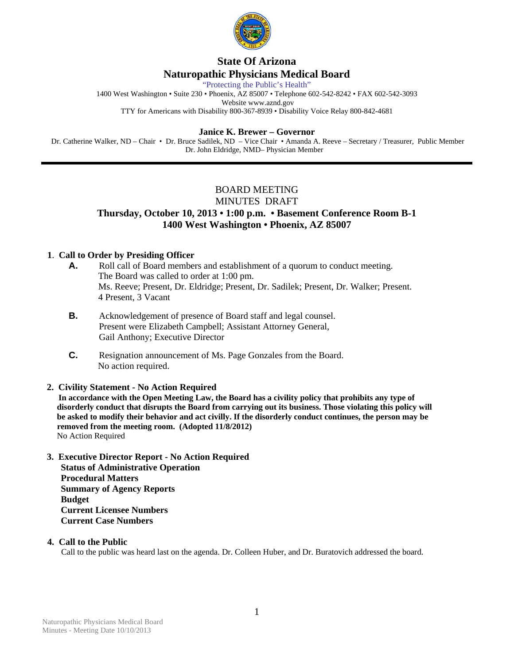

# **State Of Arizona Naturopathic Physicians Medical Board**

"Protecting the Public's Health"

1400 West Washington • Suite 230 • Phoenix, AZ 85007 • Telephone 602-542-8242 • FAX 602-542-3093 Website www.aznd.gov

TTY for Americans with Disability 800-367-8939 • Disability Voice Relay 800-842-4681

## **Janice K. Brewer – Governor**

 Dr. Catherine Walker, ND – Chair • Dr. Bruce Sadilek, ND – Vice Chair • Amanda A. Reeve – Secretary / Treasurer, Public Member Dr. John Eldridge, NMD– Physician Member

## BOARD MEETING

### MINUTES DRAFT

## **Thursday, October 10, 2013 • 1:00 p.m. • Basement Conference Room B-1 1400 West Washington • Phoenix, AZ 85007**

## **1**. **Call to Order by Presiding Officer**

- **A.** Roll call of Board members and establishment of a quorum to conduct meeting. The Board was called to order at 1:00 pm. Ms. Reeve; Present, Dr. Eldridge; Present, Dr. Sadilek; Present, Dr. Walker; Present. 4 Present, 3 Vacant
- **B.** Acknowledgement of presence of Board staff and legal counsel. Present were Elizabeth Campbell; Assistant Attorney General, Gail Anthony; Executive Director
- **C.** Resignation announcement of Ms. Page Gonzales from the Board. No action required.

## **2. Civility Statement - No Action Required**

 **In accordance with the Open Meeting Law, the Board has a civility policy that prohibits any type of disorderly conduct that disrupts the Board from carrying out its business. Those violating this policy will be asked to modify their behavior and act civilly. If the disorderly conduct continues, the person may be removed from the meeting room. (Adopted 11/8/2012)** No Action Required

 **3. Executive Director Report - No Action Required Status of Administrative Operation Procedural Matters Summary of Agency Reports Budget Current Licensee Numbers Current Case Numbers** 

### **4. Call to the Public**

Call to the public was heard last on the agenda. Dr. Colleen Huber, and Dr. Buratovich addressed the board.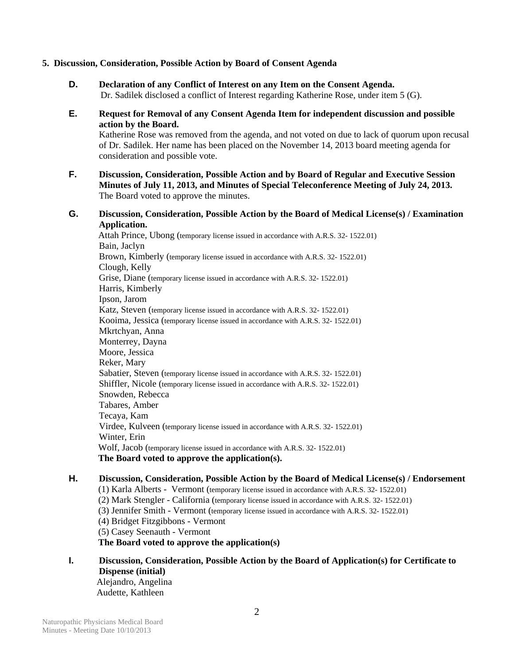### **5. Discussion, Consideration, Possible Action by Board of Consent Agenda**

- **D. Declaration of any Conflict of Interest on any Item on the Consent Agenda.** Dr. Sadilek disclosed a conflict of Interest regarding Katherine Rose, under item 5 (G).
- **E. Request for Removal of any Consent Agenda Item for independent discussion and possible action by the Board.**

Katherine Rose was removed from the agenda, and not voted on due to lack of quorum upon recusal of Dr. Sadilek. Her name has been placed on the November 14, 2013 board meeting agenda for consideration and possible vote.

- **F. Discussion, Consideration, Possible Action and by Board of Regular and Executive Session Minutes of July 11, 2013, and Minutes of Special Teleconference Meeting of July 24, 2013.** The Board voted to approve the minutes.
- **G. Discussion, Consideration, Possible Action by the Board of Medical License(s) / Examination Application.**

 Attah Prince, Ubong (temporary license issued in accordance with A.R.S. 32- 1522.01) Bain, Jaclyn Brown, Kimberly (temporary license issued in accordance with A.R.S. 32- 1522.01) Clough, Kelly Grise, Diane (temporary license issued in accordance with A.R.S. 32- 1522.01) Harris, Kimberly Ipson, Jarom Katz, Steven (temporary license issued in accordance with A.R.S. 32- 1522.01) Kooima, Jessica (temporary license issued in accordance with A.R.S. 32- 1522.01) Mkrtchyan, Anna Monterrey, Dayna Moore, Jessica Reker, Mary Sabatier, Steven (temporary license issued in accordance with A.R.S. 32- 1522.01) Shiffler, Nicole (temporary license issued in accordance with A.R.S. 32- 1522.01) Snowden, Rebecca Tabares, Amber Tecaya, Kam Virdee, Kulveen (temporary license issued in accordance with A.R.S. 32- 1522.01) Winter, Erin Wolf, Jacob (temporary license issued in accordance with A.R.S. 32- 1522.01)  **The Board voted to approve the application(s).** 

# **H. Discussion, Consideration, Possible Action by the Board of Medical License(s) / Endorsement**

- (1) Karla Alberts Vermont (temporary license issued in accordance with A.R.S. 32- 1522.01) (2) Mark Stengler - California (temporary license issued in accordance with A.R.S. 32- 1522.01) (3) Jennifer Smith - Vermont (temporary license issued in accordance with A.R.S. 32- 1522.01) (4) Bridget Fitzgibbons - Vermont (5) Casey Seenauth - Vermont **The Board voted to approve the application(s)**
- **I. Discussion, Consideration, Possible Action by the Board of Application(s) for Certificate to Dispense (initial)**  Alejandro, Angelina Audette, Kathleen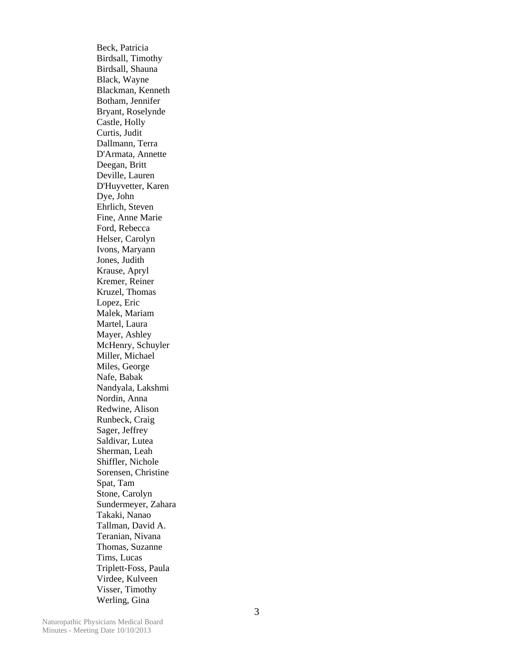Beck, Patricia Birdsall, Timothy Birdsall, Shauna Black, Wayne Blackman, Kenneth Botham, Jennifer Bryant, Roselynde Castle, Holly Curtis, Judit Dallmann, Terra D'Armata, Annette Deegan, Britt Deville, Lauren D'Huyvetter, Karen Dye, John Ehrlich, Steven Fine, Anne Marie Ford, Rebecca Helser, Carolyn Ivons, Maryann Jones, Judith Krause, Apryl Kremer, Reiner Kruzel, Thomas Lopez, Eric Malek, Mariam Martel, Laura Mayer, Ashley McHenry, Schuyler Miller, Michael Miles, George Nafe, Babak Nandyala, Lakshmi Nordin, Anna Redwine, Alison Runbeck, Craig Sager, Jeffrey Saldivar, Lutea Sherman, Leah Shiffler, Nichole Sorensen, Christine Spat, Tam Stone, Carolyn Sundermeyer, Zahara Takaki, Nanao Tallman, David A. Teranian, Nivana Thomas, Suzanne Tims, Lucas Triplett-Foss, Paula Virdee, Kulveen Visser, Timothy Werling, Gina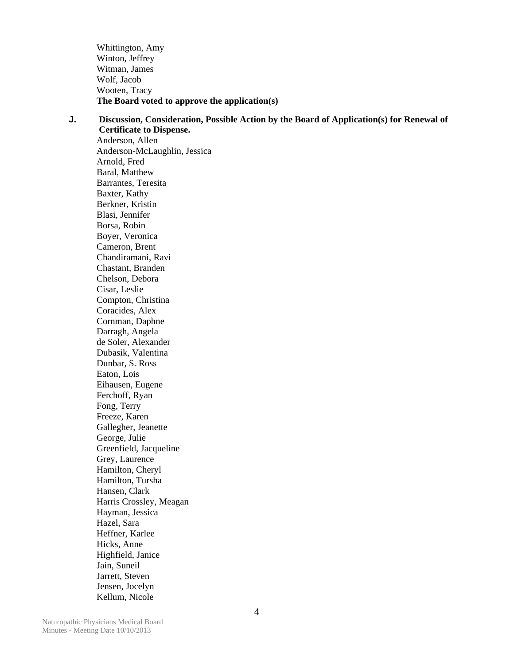Whittington, Amy Winton, Jeffrey Witman, James Wolf, Jacob Wooten, Tracy **The Board voted to approve the application(s)** 

## **J. Discussion, Consideration, Possible Action by the Board of Application(s) for Renewal of Certificate to Dispense.**  Anderson, Allen Anderson-McLaughlin, Jessica Arnold, Fred Baral, Matthew Barrantes, Teresita Baxter, Kathy Berkner, Kristin Blasi, Jennifer Borsa, Robin Boyer, Veronica Cameron, Brent Chandiramani, Ravi Chastant, Branden Chelson, Debora Cisar, Leslie Compton, Christina Coracides, Alex Cornman, Daphne Darragh, Angela de Soler, Alexander Dubasik, Valentina Dunbar, S. Ross Eaton, Lois Eihausen, Eugene Ferchoff, Ryan Fong, Terry Freeze, Karen Gallegher, Jeanette George, Julie Greenfield, Jacqueline Grey, Laurence Hamilton, Cheryl Hamilton, Tursha Hansen, Clark Harris Crossley, Meagan Hayman, Jessica Hazel, Sara Heffner, Karlee Hicks, Anne Highfield, Janice Jain, Suneil Jarrett, Steven Jensen, Jocelyn Kellum, Nicole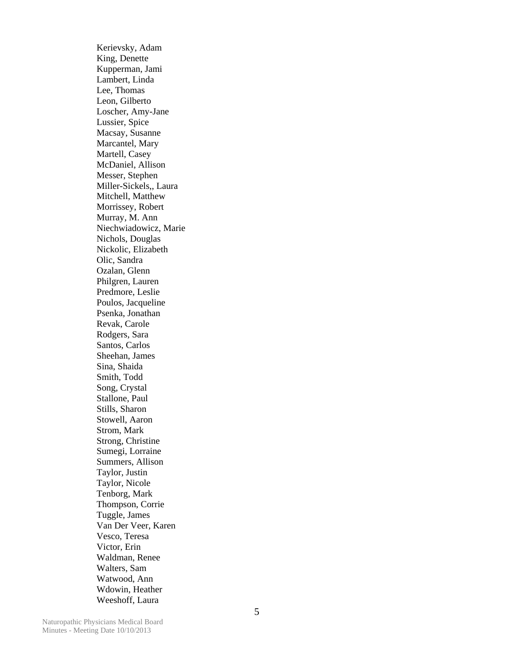Kerievsky, Adam King, Denette Kupperman, Jami Lambert, Linda Lee, Thomas Leon, Gilberto Loscher, Amy-Jane Lussier, Spice Macsay, Susanne Marcantel, Mary Martell, Casey McDaniel, Allison Messer, Stephen Miller-Sickels,, Laura Mitchell, Matthew Morrissey, Robert Murray, M. Ann Niechwiadowicz, Marie Nichols, Douglas Nickolic, Elizabeth Olic, Sandra Ozalan, Glenn Philgren, Lauren Predmore, Leslie Poulos, Jacqueline Psenka, Jonathan Revak, Carole Rodgers, Sara Santos, Carlos Sheehan, James Sina, Shaida Smith, Todd Song, Crystal Stallone, Paul Stills, Sharon Stowell, Aaron Strom, Mark Strong, Christine Sumegi, Lorraine Summers, Allison Taylor, Justin Taylor, Nicole Tenborg, Mark Thompson, Corrie Tuggle, James Van Der Veer, Karen Vesco, Teresa Victor, Erin Waldman, Renee Walters, Sam Watwood, Ann Wdowin, Heather Weeshoff, Laura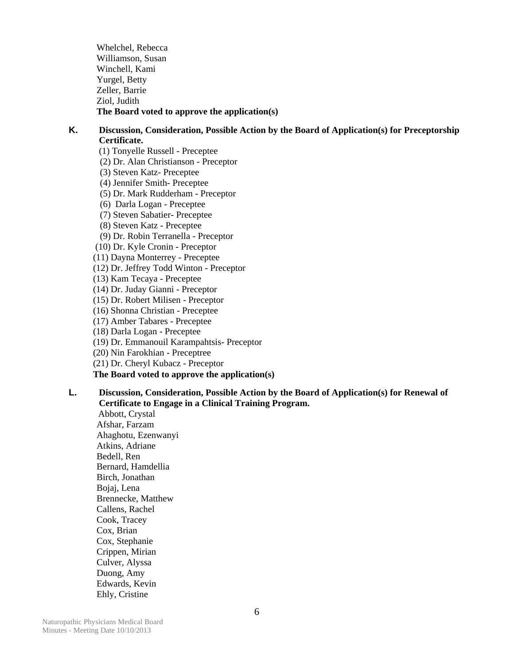Whelchel, Rebecca Williamson, Susan Winchell, Kami Yurgel, Betty Zeller, Barrie Ziol, Judith **The Board voted to approve the application(s)** 

## **K. Discussion, Consideration, Possible Action by the Board of Application(s) for Preceptorship Certificate.**

(1) Tonyelle Russell - Preceptee (2) Dr. Alan Christianson - Preceptor (3) Steven Katz- Preceptee (4) Jennifer Smith- Preceptee (5) Dr. Mark Rudderham - Preceptor (6) Darla Logan - Preceptee (7) Steven Sabatier- Preceptee (8) Steven Katz - Preceptee (9) Dr. Robin Terranella - Preceptor (10) Dr. Kyle Cronin - Preceptor (11) Dayna Monterrey - Preceptee (12) Dr. Jeffrey Todd Winton - Preceptor (13) Kam Tecaya - Preceptee (14) Dr. Juday Gianni - Preceptor (15) Dr. Robert Milisen - Preceptor (16) Shonna Christian - Preceptee (17) Amber Tabares - Preceptee (18) Darla Logan - Preceptee (19) Dr. Emmanouil Karampahtsis- Preceptor (20) Nin Farokhian - Preceptree (21) Dr. Cheryl Kubacz - Preceptor **The Board voted to approve the application(s)** 

## **L. Discussion, Consideration, Possible Action by the Board of Application(s) for Renewal of Certificate to Engage in a Clinical Training Program.**

 Abbott, Crystal Afshar, Farzam Ahaghotu, Ezenwanyi Atkins, Adriane Bedell, Ren Bernard, Hamdellia Birch, Jonathan Bojaj, Lena Brennecke, Matthew Callens, Rachel Cook, Tracey Cox, Brian Cox, Stephanie Crippen, Mirian Culver, Alyssa Duong, Amy Edwards, Kevin Ehly, Cristine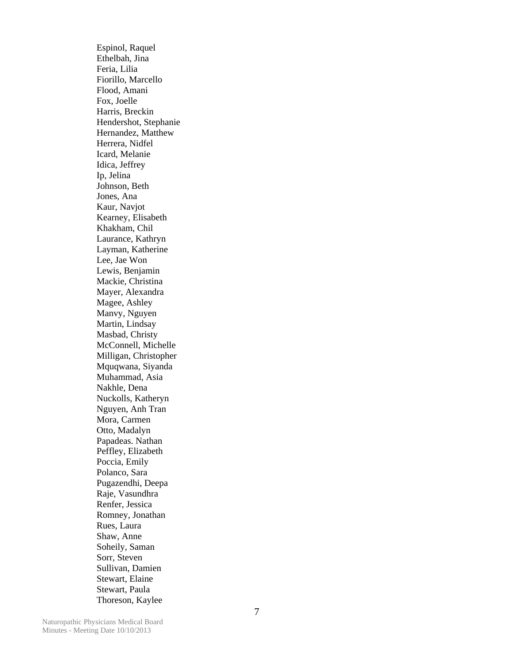Espinol, Raquel Ethelbah, Jina Feria, Lilia Fiorillo, Marcello Flood, Amani Fox, Joelle Harris, Breckin Hendershot, Stephanie Hernandez, Matthew Herrera, Nidfel Icard, Melanie Idica, Jeffrey Ip, Jelina Johnson, Beth Jones, Ana Kaur, Navjot Kearney, Elisabeth Khakham, Chil Laurance, Kathryn Layman, Katherine Lee, Jae Won Lewis, Benjamin Mackie, Christina Mayer, Alexandra Magee, Ashley Manvy, Nguyen Martin, Lindsay Masbad, Christy McConnell, Michelle Milligan, Christopher Mquqwana, Siyanda Muhammad, Asia Nakhle, Dena Nuckolls, Katheryn Nguyen, Anh Tran Mora, Carmen Otto, Madalyn Papadeas. Nathan Peffley, Elizabeth Poccia, Emily Polanco, Sara Pugazendhi, Deepa Raje, Vasundhra Renfer, Jessica Romney, Jonathan Rues, Laura Shaw, Anne Soheily, Saman Sorr, Steven Sullivan, Damien Stewart, Elaine Stewart, Paula Thoreson, Kaylee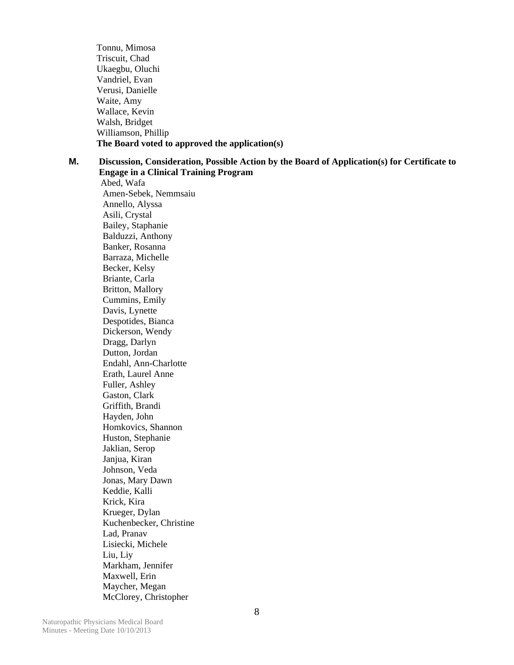Tonnu, Mimosa Triscuit, Chad Ukaegbu, Oluchi Vandriel, Evan Verusi, Danielle Waite, Amy Wallace, Kevin Walsh, Bridget Williamson, Phillip **The Board voted to approved the application(s)** 

**M. Discussion, Consideration, Possible Action by the Board of Application(s) for Certificate to Engage in a Clinical Training Program** 

 Abed, Wafa Amen-Sebek, Nemmsaiu Annello, Alyssa Asili, Crystal Bailey, Staphanie Balduzzi, Anthony Banker, Rosanna Barraza, Michelle Becker, Kelsy Briante, Carla Britton, Mallory Cummins, Emily Davis, Lynette Despotides, Bianca Dickerson, Wendy Dragg, Darlyn Dutton, Jordan Endahl, Ann-Charlotte Erath, Laurel Anne Fuller, Ashley Gaston, Clark Griffith, Brandi Hayden, John Homkovics, Shannon Huston, Stephanie Jaklian, Serop Janjua, Kiran Johnson, Veda Jonas, Mary Dawn Keddie, Kalli Krick, Kira Krueger, Dylan Kuchenbecker, Christine Lad, Pranav Lisiecki, Michele Liu, Liy Markham, Jennifer Maxwell, Erin Maycher, Megan McClorey, Christopher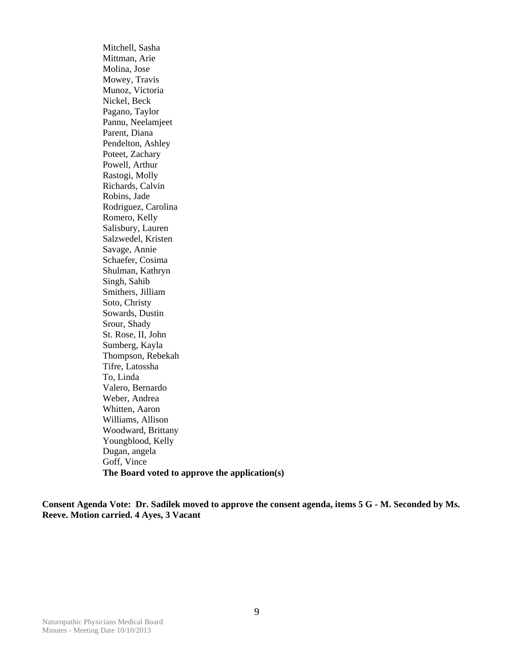Mitchell, Sasha Mittman, Arie Molina, Jose Mowey, Travis Munoz, Victoria Nickel, Beck Pagano, Taylor Pannu, Neelamjeet Parent, Diana Pendelton, Ashley Poteet, Zachary Powell, Arthur Rastogi, Molly Richards, Calvin Robins, Jade Rodriguez, Carolina Romero, Kelly Salisbury, Lauren Salzwedel, Kristen Savage, Annie Schaefer, Cosima Shulman, Kathryn Singh, Sahib Smithers, Jilliam Soto, Christy Sowards, Dustin Srour, Shady St. Rose, II, John Sumberg, Kayla Thompson, Rebekah Tifre, Latossha To, Linda Valero, Bernardo Weber, Andrea Whitten, Aaron Williams, Allison Woodward, Brittany Youngblood, Kelly Dugan, angela Goff, Vince **The Board voted to approve the application(s)** 

**Consent Agenda Vote: Dr. Sadilek moved to approve the consent agenda, items 5 G - M. Seconded by Ms. Reeve. Motion carried. 4 Ayes, 3 Vacant**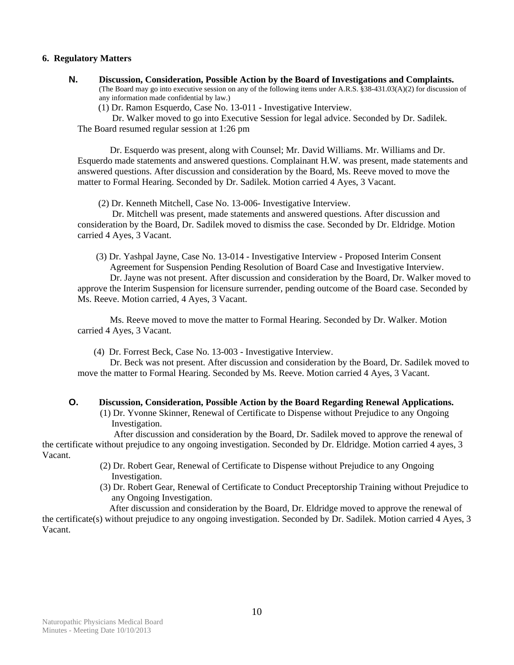#### **6. Regulatory Matters**

**N. Discussion, Consideration, Possible Action by the Board of Investigations and Complaints.**  (The Board may go into executive session on any of the following items under A.R.S. §38-431.03(A)(2) for discussion of any information made confidential by law.)

(1) Dr. Ramon Esquerdo, Case No. 13-011 - Investigative Interview.

 Dr. Walker moved to go into Executive Session for legal advice. Seconded by Dr. Sadilek. The Board resumed regular session at 1:26 pm

 Dr. Esquerdo was present, along with Counsel; Mr. David Williams. Mr. Williams and Dr. Esquerdo made statements and answered questions. Complainant H.W. was present, made statements and answered questions. After discussion and consideration by the Board, Ms. Reeve moved to move the matter to Formal Hearing. Seconded by Dr. Sadilek. Motion carried 4 Ayes, 3 Vacant.

(2) Dr. Kenneth Mitchell, Case No. 13-006- Investigative Interview.

 Dr. Mitchell was present, made statements and answered questions. After discussion and consideration by the Board, Dr. Sadilek moved to dismiss the case. Seconded by Dr. Eldridge. Motion carried 4 Ayes, 3 Vacant.

(3) Dr. Yashpal Jayne, Case No. 13-014 - Investigative Interview - Proposed Interim ConsentAgreement for Suspension Pending Resolution of Board Case and Investigative Interview.

 Dr. Jayne was not present. After discussion and consideration by the Board, Dr. Walker moved to approve the Interim Suspension for licensure surrender, pending outcome of the Board case. Seconded by Ms. Reeve. Motion carried, 4 Ayes, 3 Vacant.

 Ms. Reeve moved to move the matter to Formal Hearing. Seconded by Dr. Walker. Motion carried 4 Ayes, 3 Vacant.

(4) Dr. Forrest Beck, Case No. 13-003 - Investigative Interview.

 Dr. Beck was not present. After discussion and consideration by the Board, Dr. Sadilek moved to move the matter to Formal Hearing. Seconded by Ms. Reeve. Motion carried 4 Ayes, 3 Vacant.

### **O. Discussion, Consideration, Possible Action by the Board Regarding Renewal Applications.**  (1) Dr. Yvonne Skinner, Renewal of Certificate to Dispense without Prejudice to any Ongoing Investigation.

 After discussion and consideration by the Board, Dr. Sadilek moved to approve the renewal of the certificate without prejudice to any ongoing investigation. Seconded by Dr. Eldridge. Motion carried 4 ayes, 3 Vacant.

- (2) Dr. Robert Gear, Renewal of Certificate to Dispense without Prejudice to any Ongoing Investigation.
- (3) Dr. Robert Gear, Renewal of Certificate to Conduct Preceptorship Training without Prejudice to any Ongoing Investigation.

 After discussion and consideration by the Board, Dr. Eldridge moved to approve the renewal of the certificate(s) without prejudice to any ongoing investigation. Seconded by Dr. Sadilek. Motion carried 4 Ayes, 3 Vacant.